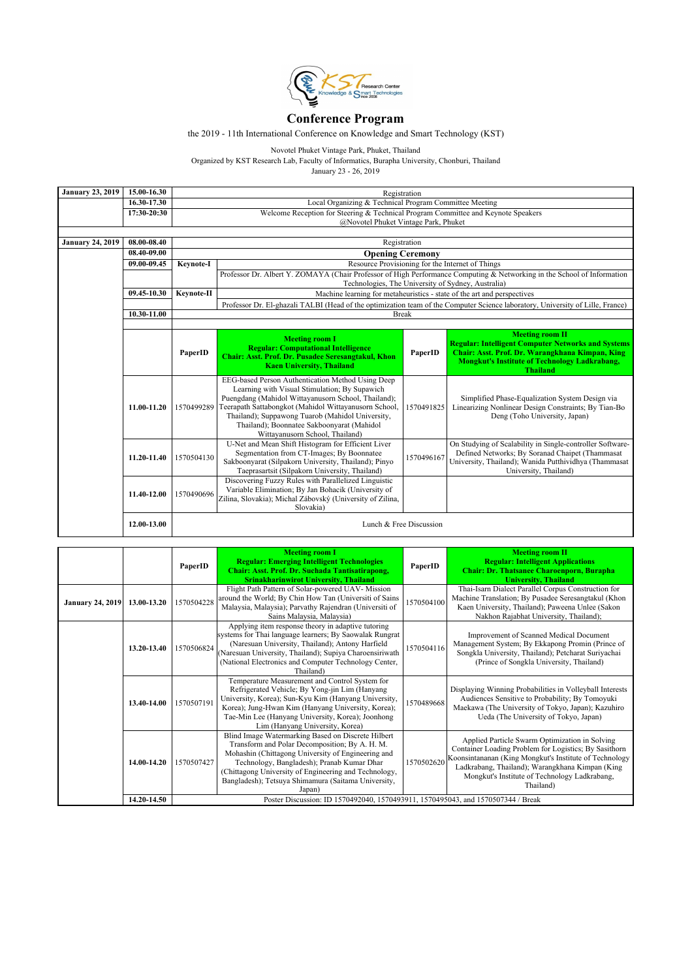

## **Conference Program**

the 2019 - 11th International Conference on Knowledge and Smart Technology (KST)

Novotel Phuket Vintage Park, Phuket, Thailand

Organized by KST Research Lab, Faculty of Informatics, Burapha University, Chonburi, Thailand

January 23 - 26, 2019

| <b>January 23, 2019</b> | 15.00-16.30 |                                                                                   | Registration                                                                                                                                                                                                                                                                                                                                                       |              |                                                                                                                                                                                                                   |  |  |
|-------------------------|-------------|-----------------------------------------------------------------------------------|--------------------------------------------------------------------------------------------------------------------------------------------------------------------------------------------------------------------------------------------------------------------------------------------------------------------------------------------------------------------|--------------|-------------------------------------------------------------------------------------------------------------------------------------------------------------------------------------------------------------------|--|--|
|                         | 16.30-17.30 |                                                                                   | Local Organizing & Technical Program Committee Meeting                                                                                                                                                                                                                                                                                                             |              |                                                                                                                                                                                                                   |  |  |
|                         | 17:30-20:30 | Welcome Reception for Steering & Technical Program Committee and Keynote Speakers |                                                                                                                                                                                                                                                                                                                                                                    |              |                                                                                                                                                                                                                   |  |  |
|                         |             |                                                                                   | @Novotel Phuket Vintage Park, Phuket                                                                                                                                                                                                                                                                                                                               |              |                                                                                                                                                                                                                   |  |  |
|                         | 08.00-08.40 |                                                                                   |                                                                                                                                                                                                                                                                                                                                                                    |              |                                                                                                                                                                                                                   |  |  |
| <b>January 24, 2019</b> | 08.40-09.00 |                                                                                   |                                                                                                                                                                                                                                                                                                                                                                    | Registration |                                                                                                                                                                                                                   |  |  |
|                         |             |                                                                                   | <b>Opening Ceremony</b>                                                                                                                                                                                                                                                                                                                                            |              |                                                                                                                                                                                                                   |  |  |
|                         | 09.00-09.45 | Keynote-I                                                                         | Resource Provisioning for the Internet of Things                                                                                                                                                                                                                                                                                                                   |              |                                                                                                                                                                                                                   |  |  |
|                         |             |                                                                                   | Professor Dr. Albert Y. ZOMAYA (Chair Professor of High Performance Computing & Networking in the School of Information<br>Technologies, The University of Sydney, Australia)                                                                                                                                                                                      |              |                                                                                                                                                                                                                   |  |  |
|                         | 09.45-10.30 | Keynote-II                                                                        | Machine learning for metaheuristics - state of the art and perspectives                                                                                                                                                                                                                                                                                            |              |                                                                                                                                                                                                                   |  |  |
|                         |             |                                                                                   | Professor Dr. El-ghazali TALBI (Head of the optimization team of the Computer Science laboratory, University of Lille, France)                                                                                                                                                                                                                                     |              |                                                                                                                                                                                                                   |  |  |
|                         | 10.30-11.00 |                                                                                   | <b>Break</b>                                                                                                                                                                                                                                                                                                                                                       |              |                                                                                                                                                                                                                   |  |  |
|                         |             |                                                                                   |                                                                                                                                                                                                                                                                                                                                                                    |              |                                                                                                                                                                                                                   |  |  |
|                         |             | PaperID                                                                           | <b>Meeting room I</b><br><b>Regular: Computational Intelligence</b><br>Chair: Asst. Prof. Dr. Pusadee Seresangtakul, Khon<br><b>Kaen University, Thailand</b>                                                                                                                                                                                                      | PaperID      | <b>Meeting room II</b><br><b>Regular: Intelligent Computer Networks and Systems</b><br>Chair: Asst. Prof. Dr. Warangkhana Kimpan, King<br><b>Mongkut's Institute of Technology Ladkrabang,</b><br><b>Thailand</b> |  |  |
|                         | 11.00-11.20 |                                                                                   | EEG-based Person Authentication Method Using Deep<br>Learning with Visual Stimulation; By Supawich<br>Puengdang (Mahidol Wittayanusorn School, Thailand);<br>1570499289 Teerapath Sattabongkot (Mahidol Wittayanusorn School,<br>Thailand); Suppawong Tuarob (Mahidol University,<br>Thailand); Boonnatee Sakboonyarat (Mahidol<br>Wittayanusorn School, Thailand) | 1570491825   | Simplified Phase-Equalization System Design via<br>Linearizing Nonlinear Design Constraints; By Tian-Bo<br>Deng (Toho University, Japan)                                                                          |  |  |
|                         | 11.20-11.40 | 1570504130                                                                        | U-Net and Mean Shift Histogram for Efficient Liver<br>Segmentation from CT-Images; By Boonnatee<br>Sakboonyarat (Silpakorn University, Thailand); Pinyo<br>Taeprasartsit (Silpakorn University, Thailand)                                                                                                                                                          | 1570496167   | On Studying of Scalability in Single-controller Software-<br>Defined Networks; By Soranad Chaipet (Thammasat<br>University, Thailand); Wanida Putthividhya (Thammasat<br>University, Thailand)                    |  |  |
|                         | 11.40-12.00 | 1570490696                                                                        | Discovering Fuzzy Rules with Parallelized Linguistic<br>Variable Elimination; By Jan Bohacik (University of<br>Zilina, Slovakia); Michal Zábovský (University of Zilina,<br>Slovakia)                                                                                                                                                                              |              |                                                                                                                                                                                                                   |  |  |
|                         | 12.00-13.00 | Lunch & Free Discussion                                                           |                                                                                                                                                                                                                                                                                                                                                                    |              |                                                                                                                                                                                                                   |  |  |

|                         |             | PaperID                                                                          | <b>Meeting room I</b><br><b>Regular: Emerging Intelligent Technologies</b><br>Chair: Asst. Prof. Dr. Suchada Tantisatirapong,<br><b>Srinakharinwirot University, Thailand</b>                                                                                                                                                      | PaperID    | <b>Meeting room II</b><br><b>Regular: Intelligent Applications</b><br><b>Chair: Dr. Thatsanee Charoenporn, Burapha</b><br><b>University, Thailand</b>                                                                                                                              |
|-------------------------|-------------|----------------------------------------------------------------------------------|------------------------------------------------------------------------------------------------------------------------------------------------------------------------------------------------------------------------------------------------------------------------------------------------------------------------------------|------------|------------------------------------------------------------------------------------------------------------------------------------------------------------------------------------------------------------------------------------------------------------------------------------|
| <b>January 24, 2019</b> | 13.00-13.20 | 1570504228                                                                       | Flight Path Pattern of Solar-powered UAV-Mission<br>around the World; By Chin How Tan (Universiti of Sains<br>Malaysia, Malaysia); Parvathy Rajendran (Universiti of<br>Sains Malaysia, Malaysia)                                                                                                                                  | 1570504100 | Thai-Isarn Dialect Parallel Corpus Construction for<br>Machine Translation; By Pusadee Seresangtakul (Khon<br>Kaen University, Thailand); Paweena Unlee (Sakon<br>Nakhon Rajabhat University, Thailand);                                                                           |
|                         | 13.20-13.40 | 1570506824                                                                       | Applying item response theory in adaptive tutoring<br>systems for Thai language learners; By Saowalak Rungrat<br>(Naresuan University, Thailand); Antony Harfield<br>(Naresuan University, Thailand); Supiya Charoensiriwath<br>(National Electronics and Computer Technology Center,<br>Thailand)                                 | 1570504116 | Improvement of Scanned Medical Document<br>Management System; By Ekkapong Promin (Prince of<br>Songkla University, Thailand); Petcharat Suriyachai<br>(Prince of Songkla University, Thailand)                                                                                     |
|                         | 13.40-14.00 | 1570507191                                                                       | Temperature Measurement and Control System for<br>Refrigerated Vehicle; By Yong-jin Lim (Hanyang<br>University, Korea); Sun-Kyu Kim (Hanyang University,<br>Korea); Jung-Hwan Kim (Hanyang University, Korea);<br>Tae-Min Lee (Hanyang University, Korea); Joonhong<br>Lim (Hanyang University, Korea)                             | 1570489668 | Displaying Winning Probabilities in Volleyball Interests<br>Audiences Sensitive to Probability; By Tomoyuki<br>Maekawa (The University of Tokyo, Japan); Kazuhiro<br>Ueda (The University of Tokyo, Japan)                                                                         |
|                         | 14.00-14.20 | 1570507427                                                                       | Blind Image Watermarking Based on Discrete Hilbert<br>Transform and Polar Decomposition; By A. H. M.<br>Mohashin (Chittagong University of Engineering and<br>Technology, Bangladesh); Pranab Kumar Dhar<br>(Chittagong University of Engineering and Technology,<br>Bangladesh); Tetsuya Shimamura (Saitama University,<br>Japan) | 1570502620 | Applied Particle Swarm Optimization in Solving<br>Container Loading Problem for Logistics; By Sasithorn<br>Koonsintananan (King Mongkut's Institute of Technology<br>Ladkrabang, Thailand); Warangkhana Kimpan (King<br>Mongkut's Institute of Technology Ladkrabang,<br>Thailand) |
|                         | 14.20-14.50 | Poster Discussion: ID 1570492040, 1570493911, 1570495043, and 1570507344 / Break |                                                                                                                                                                                                                                                                                                                                    |            |                                                                                                                                                                                                                                                                                    |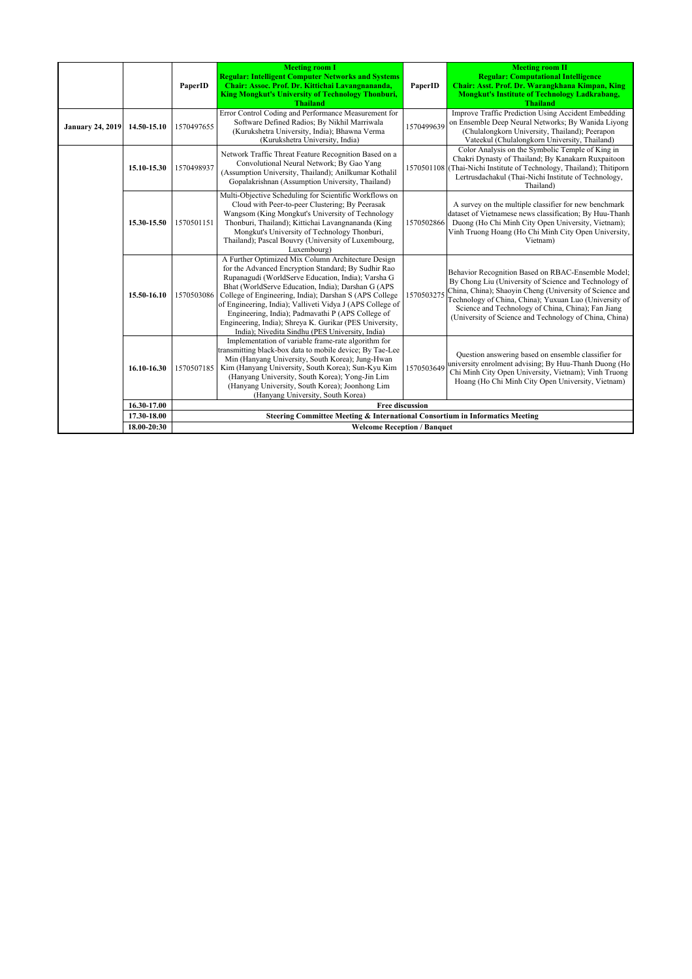|                         |             | PaperID                                                                                                | <b>Meeting room I</b><br><b>Regular: Intelligent Computer Networks and Systems</b><br>Chair: Assoc. Prof. Dr. Kittichai Lavangnananda,<br>King Mongkut's University of Technology Thonburi,<br><b>Thailand</b>                                                                                                                                                                                                                                                                                                  | PaperID    | <b>Meeting room II</b><br><b>Regular: Computational Intelligence</b><br>Chair: Asst. Prof. Dr. Warangkhana Kimpan, King<br><b>Mongkut's Institute of Technology Ladkrabang,</b><br><b>Thailand</b>                                                                                                                                               |  |
|-------------------------|-------------|--------------------------------------------------------------------------------------------------------|-----------------------------------------------------------------------------------------------------------------------------------------------------------------------------------------------------------------------------------------------------------------------------------------------------------------------------------------------------------------------------------------------------------------------------------------------------------------------------------------------------------------|------------|--------------------------------------------------------------------------------------------------------------------------------------------------------------------------------------------------------------------------------------------------------------------------------------------------------------------------------------------------|--|
| <b>January 24, 2019</b> | 14.50-15.10 | 1570497655                                                                                             | Error Control Coding and Performance Measurement for<br>Software Defined Radios; By Nikhil Marriwala<br>(Kurukshetra University, India); Bhawna Verma<br>(Kurukshetra University, India)                                                                                                                                                                                                                                                                                                                        | 1570499639 | Improve Traffic Prediction Using Accident Embedding<br>on Ensemble Deep Neural Networks; By Wanida Livong<br>(Chulalongkorn University, Thailand); Peerapon<br>Vateekul (Chulalongkorn University, Thailand)                                                                                                                                     |  |
|                         | 15.10-15.30 | 1570498937                                                                                             | Network Traffic Threat Feature Recognition Based on a<br>Convolutional Neural Network; By Gao Yang<br>(Assumption University, Thailand); Anilkumar Kothalil<br>Gopalakrishnan (Assumption University, Thailand)                                                                                                                                                                                                                                                                                                 |            | Color Analysis on the Symbolic Temple of King in<br>Chakri Dynasty of Thailand; By Kanakarn Ruxpaitoon<br>1570501108 (Thai-Nichi Institute of Technology, Thailand); Thitiporn<br>Lertrusdachakul (Thai-Nichi Institute of Technology,<br>Thailand)                                                                                              |  |
|                         | 15.30-15.50 | 1570501151                                                                                             | Multi-Objective Scheduling for Scientific Workflows on<br>Cloud with Peer-to-peer Clustering; By Peerasak<br>Wangsom (King Mongkut's University of Technology<br>Thonburi, Thailand); Kittichai Lavangnananda (King<br>Mongkut's University of Technology Thonburi,<br>Thailand); Pascal Bouvry (University of Luxembourg,<br>Luxembourg)                                                                                                                                                                       | 1570502866 | A survey on the multiple classifier for new benchmark<br>dataset of Vietnamese news classification; By Huu-Thanh<br>Duong (Ho Chi Minh City Open University, Vietnam);<br>Vinh Truong Hoang (Ho Chi Minh City Open University,<br>Vietnam)                                                                                                       |  |
|                         | 15.50-16.10 | 1570503086                                                                                             | A Further Optimized Mix Column Architecture Design<br>for the Advanced Encryption Standard; By Sudhir Rao<br>Rupanagudi (WorldServe Education, India); Varsha G<br>Bhat (WorldServe Education, India); Darshan G (APS<br>College of Engineering, India); Darshan S (APS College<br>of Engineering, India); Valliveti Vidya J (APS College of<br>Engineering, India); Padmavathi P (APS College of<br>Engineering, India); Shreya K. Gurikar (PES University,<br>India); Nivedita Sindhu (PES University, India) | 1570503275 | Behavior Recognition Based on RBAC-Ensemble Model;<br>By Chong Liu (University of Science and Technology of<br>China, China); Shaoyin Cheng (University of Science and<br>Technology of China, China); Yuxuan Luo (University of<br>Science and Technology of China, China); Fan Jiang<br>(University of Science and Technology of China, China) |  |
|                         | 16.10-16.30 | 1570507185                                                                                             | Implementation of variable frame-rate algorithm for<br>transmitting black-box data to mobile device; By Tae-Lee<br>Min (Hanyang University, South Korea); Jung-Hwan<br>Kim (Hanyang University, South Korea); Sun-Kyu Kim<br>(Hanyang University, South Korea); Yong-Jin Lim<br>(Hanyang University, South Korea); Joonhong Lim<br>(Hanyang University, South Korea)                                                                                                                                            | 1570503649 | Question answering based on ensemble classifier for<br>university enrolment advising; By Huu-Thanh Duong (Ho<br>Chi Minh City Open University, Vietnam); Vinh Truong<br>Hoang (Ho Chi Minh City Open University, Vietnam)                                                                                                                        |  |
|                         | 16.30-17.00 | <b>Free discussion</b><br>Steering Committee Meeting & International Consortium in Informatics Meeting |                                                                                                                                                                                                                                                                                                                                                                                                                                                                                                                 |            |                                                                                                                                                                                                                                                                                                                                                  |  |
|                         | 17.30-18.00 |                                                                                                        |                                                                                                                                                                                                                                                                                                                                                                                                                                                                                                                 |            |                                                                                                                                                                                                                                                                                                                                                  |  |
|                         | 18.00-20:30 | <b>Welcome Reception / Banquet</b>                                                                     |                                                                                                                                                                                                                                                                                                                                                                                                                                                                                                                 |            |                                                                                                                                                                                                                                                                                                                                                  |  |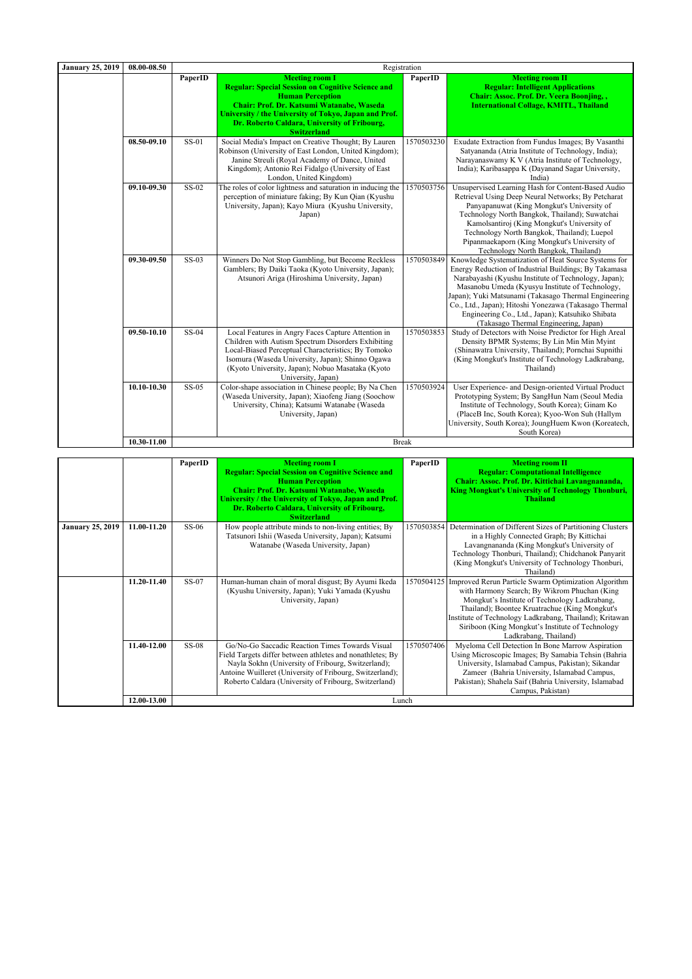| <b>January 25, 2019</b> | 08.00-08.50 | Registration |                                                                                                                                                                                                                                                                                              |            |                                                                                                                                                                                                                                                                                                                                                                                                                                        |
|-------------------------|-------------|--------------|----------------------------------------------------------------------------------------------------------------------------------------------------------------------------------------------------------------------------------------------------------------------------------------------|------------|----------------------------------------------------------------------------------------------------------------------------------------------------------------------------------------------------------------------------------------------------------------------------------------------------------------------------------------------------------------------------------------------------------------------------------------|
|                         |             | PaperID      | <b>Meeting room I</b><br><b>Regular: Special Session on Cognitive Science and</b><br><b>Human Perception</b><br>Chair: Prof. Dr. Katsumi Watanabe, Waseda<br>University / the University of Tokyo, Japan and Prof.<br>Dr. Roberto Caldara, University of Fribourg,<br><b>Switzerland</b>     | PaperID    | <b>Meeting room II</b><br><b>Regular: Intelligent Applications</b><br>Chair: Assoc. Prof. Dr. Veera Boonjing,,<br><b>International Collage, KMITL, Thailand</b>                                                                                                                                                                                                                                                                        |
|                         | 08.50-09.10 | SS-01        | Social Media's Impact on Creative Thought; By Lauren<br>Robinson (University of East London, United Kingdom);<br>Janine Streuli (Royal Academy of Dance, United<br>Kingdom); Antonio Rei Fidalgo (University of East<br>London, United Kingdom)                                              | 1570503230 | Exudate Extraction from Fundus Images; By Vasanthi<br>Satyananda (Atria Institute of Technology, India);<br>Narayanaswamy K V (Atria Institute of Technology,<br>India); Karibasappa K (Dayanand Sagar University,<br>India)                                                                                                                                                                                                           |
|                         | 09.10-09.30 | $SS-02$      | The roles of color lightness and saturation in inducing the<br>perception of miniature faking; By Kun Qian (Kyushu<br>University, Japan); Kayo Miura (Kyushu University,<br>Japan)                                                                                                           | 1570503756 | Unsupervised Learning Hash for Content-Based Audio<br>Retrieval Using Deep Neural Networks; By Petcharat<br>Panyapanuwat (King Mongkut's University of<br>Technology North Bangkok, Thailand); Suwatchai<br>Kamolsantiroj (King Mongkut's University of<br>Technology North Bangkok, Thailand); Luepol<br>Pipanmaekaporn (King Mongkut's University of<br>Technology North Bangkok, Thailand)                                          |
|                         | 09.30-09.50 | $SS-03$      | Winners Do Not Stop Gambling, but Become Reckless<br>Gamblers; By Daiki Taoka (Kyoto University, Japan);<br>Atsunori Ariga (Hiroshima University, Japan)                                                                                                                                     | 1570503849 | Knowledge Systematization of Heat Source Systems for<br>Energy Reduction of Industrial Buildings; By Takamasa<br>Narabayashi (Kyushu Institute of Technology, Japan);<br>Masanobu Umeda (Kyusyu Institute of Technology,<br>Japan); Yuki Matsunami (Takasago Thermal Engineering<br>Co., Ltd., Japan); Hitoshi Yonezawa (Takasago Thermal<br>Engineering Co., Ltd., Japan); Katsuhiko Shibata<br>(Takasago Thermal Engineering, Japan) |
|                         | 09.50-10.10 | SS-04        | Local Features in Angry Faces Capture Attention in<br>Children with Autism Spectrum Disorders Exhibiting<br>Local-Biased Perceptual Characteristics; By Tomoko<br>Isomura (Waseda University, Japan); Shinno Ogawa<br>(Kyoto University, Japan); Nobuo Masataka (Kyoto<br>University, Japan) | 1570503853 | Study of Detectors with Noise Predictor for High Areal<br>Density BPMR Systems; By Lin Min Min Myint<br>(Shinawatra University, Thailand); Pornchai Supnithi<br>(King Mongkut's Institute of Technology Ladkrabang,<br>Thailand)                                                                                                                                                                                                       |
|                         | 10.10-10.30 | SS-05        | Color-shape association in Chinese people; By Na Chen<br>(Waseda University, Japan); Xiaofeng Jiang (Soochow<br>University, China); Katsumi Watanabe (Waseda<br>University, Japan)                                                                                                           | 1570503924 | User Experience- and Design-oriented Virtual Product<br>Prototyping System; By SangHun Nam (Seoul Media<br>Institute of Technology, South Korea); Ginam Ko<br>(PlaceB Inc, South Korea); Kyoo-Won Suh (Hallym<br>University, South Korea); JoungHuem Kwon (Koreatech,<br>South Korea)                                                                                                                                                  |
|                         | 10.30-11.00 | <b>Break</b> |                                                                                                                                                                                                                                                                                              |            |                                                                                                                                                                                                                                                                                                                                                                                                                                        |

|                         |             | PaperID      | <b>Meeting room I</b>                                                                                                                                                                                                                                                                   | PaperID    | <b>Meeting room II</b>                                                                                                                                                                                                                                                                                                                                       |
|-------------------------|-------------|--------------|-----------------------------------------------------------------------------------------------------------------------------------------------------------------------------------------------------------------------------------------------------------------------------------------|------------|--------------------------------------------------------------------------------------------------------------------------------------------------------------------------------------------------------------------------------------------------------------------------------------------------------------------------------------------------------------|
|                         |             |              | <b>Regular: Special Session on Cognitive Science and</b><br><b>Human Perception</b><br>Chair: Prof. Dr. Katsumi Watanabe, Waseda<br>University / the University of Tokyo, Japan and Prof.<br>Dr. Roberto Caldara, University of Fribourg,                                               |            | <b>Regular: Computational Intelligence</b><br>Chair: Assoc. Prof. Dr. Kittichai Lavangnananda,<br><b>King Mongkut's University of Technology Thonburi,</b><br><b>Thailand</b>                                                                                                                                                                                |
|                         |             |              | <b>Switzerland</b>                                                                                                                                                                                                                                                                      |            |                                                                                                                                                                                                                                                                                                                                                              |
| <b>January 25, 2019</b> | 11.00-11.20 | $SS-06$      | How people attribute minds to non-living entities; By<br>Tatsunori Ishii (Waseda University, Japan); Katsumi<br>Watanabe (Waseda University, Japan)                                                                                                                                     |            | 1570503854 Determination of Different Sizes of Partitioning Clusters<br>in a Highly Connected Graph; By Kittichai<br>Lavangnananda (King Mongkut's University of<br>Technology Thonburi, Thailand); Chidchanok Panyarit<br>(King Mongkut's University of Technology Thonburi,<br>Thailand)                                                                   |
|                         | 11.20-11.40 | SS-07        | Human-human chain of moral disgust; By Ayumi Ikeda<br>(Kyushu University, Japan); Yuki Yamada (Kyushu<br>University, Japan)                                                                                                                                                             |            | 1570504125   Improved Rerun Particle Swarm Optimization Algorithm<br>with Harmony Search; By Wikrom Phuchan (King<br>Mongkut's Institute of Technology Ladkrabang,<br>Thailand); Boontee Kruatrachue (King Mongkut's<br>Institute of Technology Ladkrabang, Thailand); Kritawan<br>Siriboon (King Mongkut's Institute of Technology<br>Ladkrabang, Thailand) |
|                         | 11.40-12.00 | <b>SS-08</b> | Go/No-Go Saccadic Reaction Times Towards Visual<br>Field Targets differ between athletes and nonathletes; By<br>Nayla Sokhn (University of Fribourg, Switzerland);<br>Antoine Wuilleret (University of Fribourg, Switzerland);<br>Roberto Caldara (University of Fribourg, Switzerland) | 1570507406 | Myeloma Cell Detection In Bone Marrow Aspiration<br>Using Microscopic Images; By Samabia Tehsin (Bahria<br>University, Islamabad Campus, Pakistan); Sikandar<br>Zameer (Bahria University, Islamabad Campus,<br>Pakistan); Shahela Saif (Bahria University, Islamabad<br>Campus, Pakistan)                                                                   |
|                         | 12.00-13.00 | Lunch        |                                                                                                                                                                                                                                                                                         |            |                                                                                                                                                                                                                                                                                                                                                              |